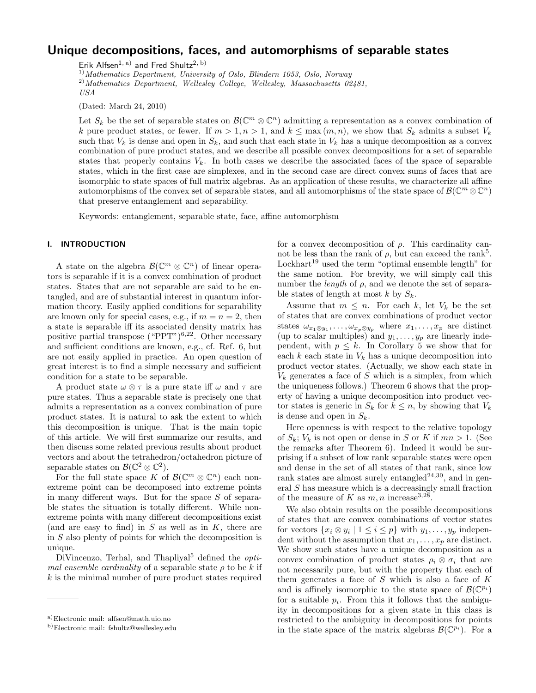# Unique decompositions, faces, and automorphisms of separable states

Erik Alfsen<sup>1, a)</sup> and Fred Shultz<sup>2, b)</sup>

 $^{1)}$ Mathematics Department, University of Oslo, Blindern 1053, Oslo, Norway

 $^{2)}$ Mathematics Department, Wellesley College, Wellesley, Massachusetts 02481, USA

(Dated: March 24, 2010)

Let  $S_k$  be the set of separable states on  $\mathcal{B}(\mathbb{C}^m \otimes \mathbb{C}^n)$  admitting a representation as a convex combination of k pure product states, or fewer. If  $m > 1$ ,  $n > 1$ , and  $k \leq \max(m, n)$ , we show that  $S_k$  admits a subset  $V_k$ such that  $V_k$  is dense and open in  $S_k$ , and such that each state in  $V_k$  has a unique decomposition as a convex combination of pure product states, and we describe all possible convex decompositions for a set of separable states that properly contains  $V_k$ . In both cases we describe the associated faces of the space of separable states, which in the first case are simplexes, and in the second case are direct convex sums of faces that are isomorphic to state spaces of full matrix algebras. As an application of these results, we characterize all affine automorphisms of the convex set of separable states, and all automorphisms of the state space of  $\mathcal{B}(\mathbb{C}^m \otimes \mathbb{C}^n)$ that preserve entanglement and separability.

Keywords: entanglement, separable state, face, affine automorphism

## I. INTRODUCTION

A state on the algebra  $\mathcal{B}(\mathbb{C}^m \otimes \mathbb{C}^n)$  of linear operators is separable if it is a convex combination of product states. States that are not separable are said to be entangled, and are of substantial interest in quantum information theory. Easily applied conditions for separability are known only for special cases, e.g., if  $m = n = 2$ , then a state is separable iff its associated density matrix has positive partial transpose ("PPT")<sup>6,22</sup>. Other necessary and sufficient conditions are known, e.g., cf. Ref. 6, but are not easily applied in practice. An open question of great interest is to find a simple necessary and sufficient condition for a state to be separable.

A product state  $\omega \otimes \tau$  is a pure state iff  $\omega$  and  $\tau$  are pure states. Thus a separable state is precisely one that admits a representation as a convex combination of pure product states. It is natural to ask the extent to which this decomposition is unique. That is the main topic of this article. We will first summarize our results, and then discuss some related previous results about product vectors and about the tetrahedron/octahedron picture of separable states on  $\mathcal{B}(\mathbb{C}^2 \otimes \mathbb{C}^2)$ .

For the full state space K of  $\mathcal{B}(\mathbb{C}^m \otimes \mathbb{C}^n)$  each nonextreme point can be decomposed into extreme points in many different ways. But for the space  $S$  of separable states the situation is totally different. While nonextreme points with many different decompositions exist (and are easy to find) in  $S$  as well as in  $K$ , there are in S also plenty of points for which the decomposition is unique.

DiVincenzo, Terhal, and Thapliyal<sup>5</sup> defined the  $opti$ mal ensemble cardinality of a separable state  $\rho$  to be k if  $k$  is the minimal number of pure product states required

for a convex decomposition of  $\rho$ . This cardinality cannot be less than the rank of  $\rho$ , but can exceed the rank<sup>5</sup>. Lockhart<sup>19</sup> used the term "optimal ensemble length" for the same notion. For brevity, we will simply call this number the *length* of  $\rho$ , and we denote the set of separable states of length at most  $k$  by  $S_k$ .

Assume that  $m \leq n$ . For each k, let  $V_k$  be the set of states that are convex combinations of product vector states  $\omega_{x_1 \otimes y_1}, \ldots, \omega_{x_p \otimes y_p}$  where  $x_1, \ldots, x_p$  are distinct (up to scalar multiples) and  $y_1, \ldots, y_p$  are linearly independent, with  $p \leq k$ . In Corollary 5 we show that for each  $k$  each state in  $V_k$  has a unique decomposition into product vector states. (Actually, we show each state in  $V_k$  generates a face of S which is a simplex, from which the uniqueness follows.) Theorem 6 shows that the property of having a unique decomposition into product vector states is generic in  $S_k$  for  $k \leq n$ , by showing that  $V_k$ is dense and open in  $S_k$ .

Here openness is with respect to the relative topology of  $S_k$ ;  $V_k$  is not open or dense in S or K if  $mn > 1$ . (See the remarks after Theorem 6). Indeed it would be surprising if a subset of low rank separable states were open and dense in the set of all states of that rank, since low rank states are almost surely entangled<sup>24,30</sup>, and in general ${\cal S}$  has measure which is a decreasingly small fraction of the measure of K as  $m, n$  increase<sup>3,28</sup> .

We also obtain results on the possible decompositions of states that are convex combinations of vector states for vectors  $\{x_i \otimes y_i \mid 1 \leq i \leq p\}$  with  $y_1, \ldots, y_p$  independent without the assumption that  $x_1, \ldots, x_p$  are distinct. We show such states have a unique decomposition as a convex combination of product states  $\rho_i \otimes \sigma_i$  that are not necessarily pure, but with the property that each of them generates a face of  $S$  which is also a face of  $K$ and is affinely isomorphic to the state space of  $\mathcal{B}(\mathbb{C}^{p_i})$ for a suitable  $p_i$ . From this it follows that the ambiguity in decompositions for a given state in this class is restricted to the ambiguity in decompositions for points in the state space of the matrix algebras  $\mathcal{B}(\mathbb{C}^{p_i})$ . For a

a)Electronic mail: alfsen@math.uio.no

b)Electronic mail: fshultz@wellesley.edu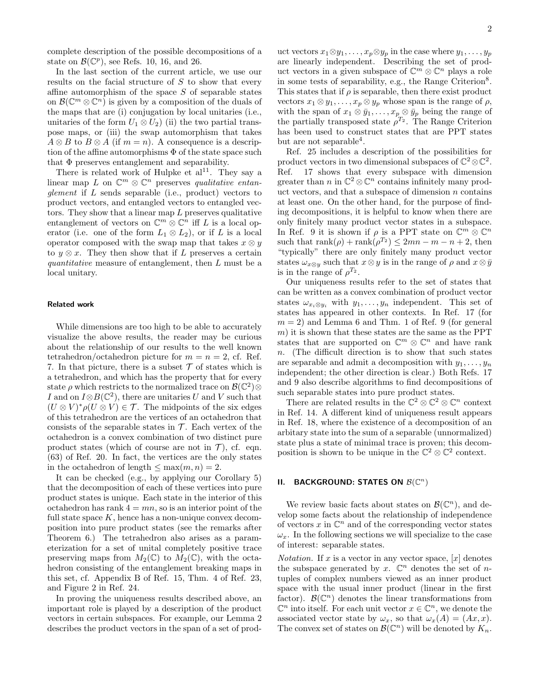complete description of the possible decompositions of a state on  $\mathcal{B}(\mathbb{C}^p)$ , see Refs. 10, 16, and 26.

In the last section of the current article, we use our results on the facial structure of  $S$  to show that every affine automorphism of the space  $S$  of separable states on  $\mathcal{B}(\mathbb{C}^m \otimes \mathbb{C}^n)$  is given by a composition of the duals of the maps that are (i) conjugation by local unitaries (i.e., unitaries of the form  $U_1 \otimes U_2$  (ii) the two partial transpose maps, or (iii) the swap automorphism that takes  $A \otimes B$  to  $B \otimes A$  (if  $m = n$ ). A consequence is a description of the affine automorphisms  $\Phi$  of the state space such that  $\Phi$  preserves entanglement and separability.

There is related work of Hulpke et  $al<sup>11</sup>$ . They say a linear map L on  $\mathbb{C}^m \otimes \mathbb{C}^n$  preserves qualitative entanglement if  $L$  sends separable (i.e., product) vectors to product vectors, and entangled vectors to entangled vectors. They show that a linear map L preserves qualitative entanglement of vectors on  $\mathbb{C}^m \otimes \mathbb{C}^n$  iff L is a local operator (i.e. one of the form  $L_1 \otimes L_2$ ), or if L is a local operator composed with the swap map that takes  $x \otimes y$ to  $y \otimes x$ . They then show that if L preserves a certain quantitative measure of entanglement, then L must be a local unitary.

#### Related work

While dimensions are too high to be able to accurately visualize the above results, the reader may be curious about the relationship of our results to the well known tetrahedron/octahedron picture for  $m = n = 2$ , cf. Ref. 7. In that picture, there is a subset  $\mathcal T$  of states which is a tetrahedron, and which has the property that for every state  $\rho$  which restricts to the normalized trace on  $\mathcal{B}(\mathbb{C}^2) \otimes$ I and on  $I \otimes B(\mathbb{C}^2)$ , there are unitaries U and V such that  $(U \otimes V)^*\rho(U \otimes V) \in \mathcal{T}$ . The midpoints of the six edges of this tetrahedron are the vertices of an octahedron that consists of the separable states in  $\mathcal T$ . Each vertex of the octahedron is a convex combination of two distinct pure product states (which of course are not in  $\mathcal{T}$ ), cf. eqn. (63) of Ref. 20. In fact, the vertices are the only states in the octahedron of length  $\leq \max(m, n) = 2$ .

It can be checked (e.g., by applying our Corollary 5) that the decomposition of each of these vertices into pure product states is unique. Each state in the interior of this octahedron has rank  $4 = mn$ , so is an interior point of the full state space  $K$ , hence has a non-unique convex decomposition into pure product states (see the remarks after Theorem 6.) The tetrahedron also arises as a parameterization for a set of unital completely positive trace preserving maps from  $M_2(\mathbb{C})$  to  $M_2(\mathbb{C})$ , with the octahedron consisting of the entanglement breaking maps in this set, cf. Appendix B of Ref. 15, Thm. 4 of Ref. 23, and Figure 2 in Ref. 24.

In proving the uniqueness results described above, an important role is played by a description of the product vectors in certain subspaces. For example, our Lemma 2 describes the product vectors in the span of a set of prod-

uct vectors  $x_1 \otimes y_1, \ldots, x_p \otimes y_p$  in the case where  $y_1, \ldots, y_p$ are linearly independent. Describing the set of product vectors in a given subspace of  $\mathbb{C}^m \otimes \mathbb{C}^n$  plays a role in some tests of separability, e.g., the Range Criterion<sup>8</sup>. This states that if  $\rho$  is separable, then there exist product vectors  $x_1 \otimes y_1, \ldots, x_p \otimes y_p$  whose span is the range of  $\rho$ , with the span of  $x_1 \otimes \bar{y}_1, \ldots, x_p \otimes \bar{y}_p$  being the range of the partially transposed state  $\rho^{T_2}$ . The Range Criterion has been used to construct states that are PPT states but are not separable<sup>4</sup>.

Ref. 25 includes a description of the possibilities for product vectors in two dimensional subspaces of  $\mathbb{C}^2 \otimes \mathbb{C}^2$ . Ref. 17 shows that every subspace with dimension greater than n in  $\mathbb{C}^2 \otimes \mathbb{C}^n$  contains infinitely many product vectors, and that a subspace of dimension  $n$  contains at least one. On the other hand, for the purpose of finding decompositions, it is helpful to know when there are only finitely many product vector states in a subspace. In Ref. 9 it is shown if  $\rho$  is a PPT state on  $\mathbb{C}^m \otimes \mathbb{C}^n$ such that  $\operatorname{rank}(\rho) + \operatorname{rank}(\rho^{T_2}) \leq 2mn - m - n + 2$ , then "typically" there are only finitely many product vector states  $\omega_{x\otimes y}$  such that  $x\otimes y$  is in the range of  $\rho$  and  $x\otimes \bar{y}$ is in the range of  $\rho^{T_2}$ .

Our uniqueness results refer to the set of states that can be written as a convex combination of product vector states  $\omega_{x_i \otimes y_i}$  with  $y_1, \ldots, y_n$  independent. This set of states has appeared in other contexts. In Ref. 17 (for  $m = 2$ ) and Lemma 6 and Thm. 1 of Ref. 9 (for general  $(m)$  it is shown that these states are the same as the PPT states that are supported on  $\mathbb{C}^m \otimes \mathbb{C}^n$  and have rank n. (The difficult direction is to show that such states are separable and admit a decomposition with  $y_1, \ldots, y_n$ independent; the other direction is clear.) Both Refs. 17 and 9 also describe algorithms to find decompositions of such separable states into pure product states.

There are related results in the  $\mathbb{C}^2 \otimes \mathbb{C}^2 \otimes \mathbb{C}^n$  context in Ref. 14. A different kind of uniqueness result appears in Ref. 18, where the existence of a decomposition of an arbitary state into the sum of a separable (unnormalized) state plus a state of minimal trace is proven; this decomposition is shown to be unique in the  $\mathbb{C}^2 \otimes \mathbb{C}^2$  context.

# II. BACKGROUND: STATES ON  $\mathcal{B}(\mathbb{C}^n)$

We review basic facts about states on  $\mathcal{B}(\mathbb{C}^n)$ , and develop some facts about the relationship of independence of vectors x in  $\mathbb{C}^n$  and of the corresponding vector states  $\omega_x$ . In the following sections we will specialize to the case of interest: separable states.

*Notation*. If x is a vector in any vector space,  $[x]$  denotes the subspace generated by x.  $\mathbb{C}^n$  denotes the set of ntuples of complex numbers viewed as an inner product space with the usual inner product (linear in the first factor).  $\mathcal{B}(\mathbb{C}^n)$  denotes the linear transformations from  $\mathbb{C}^n$  into itself. For each unit vector  $x \in \mathbb{C}^n$ , we denote the associated vector state by  $\omega_x$ , so that  $\omega_x(A) = (Ax, x)$ . The convex set of states on  $\mathcal{B}(\mathbb{C}^n)$  will be denoted by  $K_n$ .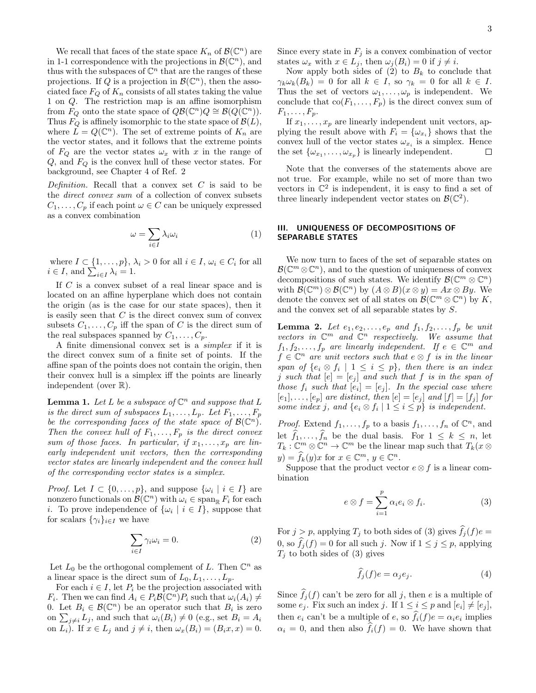We recall that faces of the state space  $K_n$  of  $\mathcal{B}(\mathbb{C}^n)$  are in 1-1 correspondence with the projections in  $\mathcal{B}(\mathbb{C}^n)$ , and thus with the subspaces of  $\mathbb{C}^n$  that are the ranges of these projections. If Q is a projection in  $\mathcal{B}(\mathbb{C}^n)$ , then the associated face  $F_Q$  of  $K_n$  consists of all states taking the value 1 on Q. The restriction map is an affine isomorphism from  $F_Q$  onto the state space of  $QB(\mathbb{C}^n)Q \cong B(Q(\mathbb{C}^n))$ . Thus  $F_Q$  is affinely isomorphic to the state space of  $\mathcal{B}(L)$ , where  $\tilde{L} = Q(\mathbb{C}^n)$ . The set of extreme points of  $K_n$  are the vector states, and it follows that the extreme points of  $F_Q$  are the vector states  $\omega_x$  with x in the range of  $Q$ , and  $F_Q$  is the convex hull of these vector states. For background, see Chapter 4 of Ref. 2

Definition. Recall that a convex set  $C$  is said to be the direct convex sum of a collection of convex subsets  $C_1, \ldots, C_p$  if each point  $\omega \in C$  can be uniquely expressed as a convex combination

$$
\omega = \sum_{i \in I} \lambda_i \omega_i \tag{1}
$$

where  $I \subset \{1, \ldots, p\}, \, \lambda_i > 0$  for all  $i \in I, \, \omega_i \in C_i$  for all  $i \in I$ , and  $\sum_{i \in I} \lambda_i = 1$ .

If C is a convex subset of a real linear space and is located on an affine hyperplane which does not contain the origin (as is the case for our state spaces), then it is easily seen that  $C$  is the direct convex sum of convex subsets  $C_1, \ldots, C_p$  iff the span of C is the direct sum of the real subspaces spanned by  $C_1, \ldots, C_p$ .

A finite dimensional convex set is a simplex if it is the direct convex sum of a finite set of points. If the affine span of the points does not contain the origin, then their convex hull is a simplex iff the points are linearly independent (over R).

**Lemma 1.** Let L be a subspace of  $\mathbb{C}^n$  and suppose that L is the direct sum of subspaces  $L_1, \ldots, L_p$ . Let  $F_1, \ldots, F_p$ be the corresponding faces of the state space of  $\mathcal{B}(\mathbb{C}^n)$ . Then the convex hull of  $F_1, \ldots, F_p$  is the direct convex sum of those faces. In particular, if  $x_1, \ldots, x_p$  are linearly independent unit vectors, then the corresponding vector states are linearly independent and the convex hull of the corresponding vector states is a simplex.

*Proof.* Let  $I \subset \{0, \ldots, p\}$ , and suppose  $\{\omega_i \mid i \in I\}$  are nonzero functionals on  $\mathcal{B}(\mathbb{C}^n)$  with  $\omega_i \in \text{span}_{\mathbb{R}} F_i$  for each *i*. To prove independence of  $\{\omega_i \mid i \in I\}$ , suppose that for scalars  $\{\gamma_i\}_{i\in I}$  we have

$$
\sum_{i \in I} \gamma_i \omega_i = 0. \tag{2}
$$

Let  $L_0$  be the orthogonal complement of L. Then  $\mathbb{C}^n$  as a linear space is the direct sum of  $L_0, L_1, \ldots, L_p$ .

For each  $i \in I$ , let  $P_i$  be the projection associated with  $F_i$ . Then we can find  $A_i \in P_i \mathcal{B}(\mathbb{C}^n) P_i$  such that  $\omega_i(A_i) \neq$ 0. Let  $B_i \in \mathcal{B}(\mathbb{C}^n)$  be an operator such that  $B_i$  is zero on  $\sum_{j\neq i} L_j$ , and such that  $\omega_i(B_i) \neq 0$  (e.g., set  $B_i = A_i$ ) on  $L_i$ ). If  $x \in L_j$  and  $j \neq i$ , then  $\omega_x(B_i) = (B_i x, x) = 0$ . Since every state in  $F_j$  is a convex combination of vector states  $\omega_x$  with  $x \in L_j$ , then  $\omega_j(B_i) = 0$  if  $j \neq i$ .

Now apply both sides of  $(2)$  to  $B_k$  to conclude that  $\gamma_k \omega_k(B_k) = 0$  for all  $k \in I$ , so  $\gamma_k = 0$  for all  $k \in I$ . Thus the set of vectors  $\omega_1, \ldots, \omega_p$  is independent. We conclude that  $co(F_1, \ldots, F_p)$  is the direct convex sum of  $F_1, \ldots, F_p.$ 

If  $x_1, \ldots, x_p$  are linearly independent unit vectors, applying the result above with  $F_i = {\omega_{x_i}}$  shows that the convex hull of the vector states  $\omega_{x_i}$  is a simplex. Hence the set  $\{\omega_{x_1}, \ldots, \omega_{x_p}\}\$ is linearly independent.  $\Box$ 

Note that the converses of the statements above are not true. For example, while no set of more than two vectors in  $\mathbb{C}^2$  is independent, it is easy to find a set of three linearly independent vector states on  $\mathcal{B}(\mathbb{C}^2)$ .

#### III. UNIQUENESS OF DECOMPOSITIONS OF SEPARABLE STATES

We now turn to faces of the set of separable states on  $\mathcal{B}(\mathbb{C}^m \otimes \mathbb{C}^n)$ , and to the question of uniqueness of convex decompositions of such states. We identify  $\mathcal{B}(\mathbb{C}^m \otimes \mathbb{C}^n)$ with  $\mathcal{B}(\mathbb{C}^m) \otimes \mathcal{B}(\mathbb{C}^n)$  by  $(A \otimes B)(x \otimes y) = Ax \otimes By$ . We denote the convex set of all states on  $\mathcal{B}(\mathbb{C}^m \otimes \mathbb{C}^n)$  by K, and the convex set of all separable states by S.

**Lemma 2.** Let  $e_1, e_2, \ldots, e_p$  and  $f_1, f_2, \ldots, f_p$  be unit vectors in  $\mathbb{C}^m$  and  $\mathbb{C}^n$  respectively. We assume that  $f_1, f_2, \ldots, f_p$  are linearly independent. If  $e \in \mathbb{C}^m$  and  $f \in \mathbb{C}^n$  are unit vectors such that  $e \otimes f$  is in the linear span of  $\{e_i \otimes f_i \mid 1 \leq i \leq p\}$ , then there is an index j such that  $[e] = [e_j]$  and such that f is in the span of those  $f_i$  such that  $[e_i] = [e_j]$ . In the special case where  $[e_1], \ldots, [e_p]$  are distinct, then  $[e] = [e_j]$  and  $[f] = [f_j]$  for some index j, and  $\{e_i \otimes f_i \mid 1 \leq i \leq p\}$  is independent.

*Proof.* Extend  $f_1, \ldots, f_p$  to a basis  $f_1, \ldots, f_n$  of  $\mathbb{C}^n$ , and let  $f_1, \ldots, f_n$  be the dual basis. For  $1 \leq k \leq n$ , let  $T_k: \mathbb{C}^m \otimes \mathbb{C}^n \to \mathbb{C}^m$  be the linear map such that  $T_k(x \otimes$  $y) = \widehat{f}_k(y)x$  for  $x \in \mathbb{C}^m$ ,  $y \in \mathbb{C}^n$ .

Suppose that the product vector  $e \otimes f$  is a linear combination

$$
e \otimes f = \sum_{i=1}^{p} \alpha_i e_i \otimes f_i.
$$
 (3)

For  $j > p$ , applying  $T_j$  to both sides of (3) gives  $\hat{f}_j(f)e =$ 0, so  $\widehat{f}_j(f) = 0$  for all such j. Now if  $1 \leq j \leq p$ , applying  $T_j$  to both sides of (3) gives

$$
\hat{f}_j(f)e = \alpha_j e_j. \tag{4}
$$

Since  $f_j(f)$  can't be zero for all j, then e is a multiple of some  $e_j$ . Fix such an index j. If  $1 \leq i \leq p$  and  $[e_i] \neq [e_j]$ , then  $e_i$  can't be a multiple of  $e$ , so  $f_i(f)e = \alpha_i e_i$  implies  $\alpha_i = 0$ , and then also  $f_i(f) = 0$ . We have shown that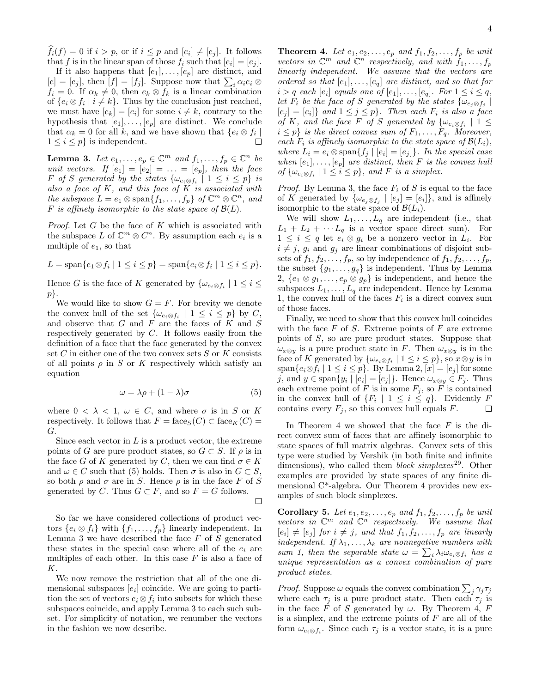$f_i(f) = 0$  if  $i > p$ , or if  $i \leq p$  and  $[e_i] \neq [e_j]$ . It follows that f is in the linear span of those  $f_i$  such that  $[e_i] = [e_j]$ .

If it also happens that  $[e_1], \ldots, [e_p]$  are distinct, and  $[e] = [e_j]$ , then  $[f] = [f_j]$ . Suppose now that  $\sum_i \alpha_i e_i \otimes$  $f_i = 0$ . If  $\alpha_k \neq 0$ , then  $e_k \otimes f_k$  is a linear combination of  $\{e_i \otimes f_i \mid i \neq k\}$ . Thus by the conclusion just reached, we must have  $[e_k] = [e_i]$  for some  $i \neq k$ , contrary to the hypothesis that  $[e_1], \ldots, [e_p]$  are distinct. We conclude that  $\alpha_k = 0$  for all k, and we have shown that  $\{e_i \otimes f_i \mid$  $1 \leq i \leq p$  is independent.  $\Box$ 

**Lemma 3.** Let  $e_1, \ldots, e_p \in \mathbb{C}^m$  and  $f_1, \ldots, f_p \in \mathbb{C}^n$  be unit vectors. If  $[e_1] = [e_2] = \ldots = [e_p]$ , then the face F of S generated by the states  $\{\omega_{e_i \otimes f_i} \mid 1 \leq i \leq p\}$  is also a face of  $K$ , and this face of  $K$  is associated with the subspace  $L = e_1 \otimes \text{span}\{f_1, \ldots, f_p\}$  of  $\mathbb{C}^m \otimes \mathbb{C}^n$ , and F is affinely isomorphic to the state space of  $\mathcal{B}(L)$ .

*Proof.* Let  $G$  be the face of  $K$  which is associated with the subspace L of  $\mathbb{C}^m \otimes C^n$ . By assumption each  $e_i$  is a multiple of  $e_1$ , so that

$$
L = \text{span}\{e_1 \otimes f_i \mid 1 \le i \le p\} = \text{span}\{e_i \otimes f_i \mid 1 \le i \le p\}.
$$

Hence G is the face of K generated by  $\{\omega_{e_i \otimes f_i} \mid 1 \leq i \leq j\}$ p}.

We would like to show  $G = F$ . For brevity we denote the convex hull of the set  $\{\omega_{e_i \otimes f_i} \mid 1 \leq i \leq p\}$  by C, and observe that  $G$  and  $F$  are the faces of  $K$  and  $S$ respectively generated by C. It follows easily from the definition of a face that the face generated by the convex set  $C$  in either one of the two convex sets  $S$  or  $K$  consists of all points  $\rho$  in S or K respectively which satisfy an equation

$$
\omega = \lambda \rho + (1 - \lambda)\sigma \tag{5}
$$

where  $0 < \lambda < 1$ ,  $\omega \in C$ , and where  $\sigma$  is in S or K respectively. It follows that  $F = \text{face}_S(C) \subset \text{face}_K(C) =$ G.

Since each vector in  $L$  is a product vector, the extreme points of G are pure product states, so  $G \subset S$ . If  $\rho$  is in the face G of K generated by C, then we can find  $\sigma \in K$ and  $\omega \in C$  such that (5) holds. Then  $\sigma$  is also in  $G \subset S$ , so both  $\rho$  and  $\sigma$  are in S. Hence  $\rho$  is in the face F of S generated by C. Thus  $G \subset F$ , and so  $F = G$  follows.  $\Box$ 

So far we have considered collections of product vectors  $\{e_i \otimes f_i\}$  with  $\{f_1, \ldots, f_p\}$  linearly independent. In Lemma 3 we have described the face  $F$  of  $S$  generated these states in the special case where all of the  $e_i$  are multiples of each other. In this case  $F$  is also a face of K.

We now remove the restriction that all of the one dimensional subspaces  $[e_i]$  coincide. We are going to partition the set of vectors  $e_i \otimes f_i$  into subsets for which these subspaces coincide, and apply Lemma 3 to each such subset. For simplicity of notation, we renumber the vectors in the fashion we now describe.

**Theorem 4.** Let  $e_1, e_2, \ldots, e_p$  and  $f_1, f_2, \ldots, f_p$  be unit vectors in  $\mathbb{C}^m$  and  $\mathbb{C}^n$  respectively, and with  $f_1, \ldots, f_p$ linearly independent. We assume that the vectors are ordered so that  $[e_1], \ldots, [e_q]$  are distinct, and so that for  $i > q$  each  $[e_i]$  equals one of  $[e_1], \ldots, [e_q]$ . For  $1 \leq i \leq q$ , let  $F_i$  be the face of S generated by the states  $\{\omega_{e_j\otimes f_j}\mid$  $[e_j] = [e_i]$  and  $1 \leq j \leq p$ . Then each  $F_i$  is also a face of K, and the face F of S generated by  $\{\omega_{e_i \otimes f_i} \mid 1 \leq$  $i \leq p$  is the direct convex sum of  $F_1, \ldots, F_q$ . Moreover, each  $F_i$  is affinely isomorphic to the state space of  $\mathcal{B}(L_i)$ , where  $L_i = e_i \otimes \text{span}{f_j \mid [e_i] = [e_j]}.$  In the special case when  $[e_1], \ldots, [e_p]$  are distinct, then F is the convex hull of  $\{\omega_{e_i \otimes f_i} \mid 1 \leq i \leq p\}$ , and F is a simplex.

*Proof.* By Lemma 3, the face  $F_i$  of S is equal to the face of K generated by  $\{\omega_{e_j \otimes f_j} \mid [e_j] = [e_i]\}$ , and is affinely isomorphic to the state space of  $\mathcal{B}(L_i)$ .

We will show  $L_1, \ldots, L_q$  are independent (i.e., that  $L_1 + L_2 + \cdots + L_q$  is a vector space direct sum). For  $1 \leq i \leq q$  let  $e_i \otimes g_i$  be a nonzero vector in  $L_i$ . For  $i \neq j$ ,  $g_i$  and  $g_j$  are linear combinations of disjoint subsets of  $f_1, f_2, \ldots, f_p$ , so by independence of  $f_1, f_2, \ldots, f_p$ , the subset  $\{g_1, \ldots, g_q\}$  is independent. Thus by Lemma 2,  $\{e_1 \otimes g_1, \ldots, e_p \otimes g_p\}$  is independent, and hence the subspaces  $L_1, \ldots, L_q$  are independent. Hence by Lemma 1, the convex hull of the faces  $F_i$  is a direct convex sum of those faces.

Finally, we need to show that this convex hull coincides with the face  $F$  of  $S$ . Extreme points of  $F$  are extreme points of S, so are pure product states. Suppose that  $\omega_{x\otimes y}$  is a pure product state in F. Then  $\omega_{x\otimes y}$  is in the face of K generated by  $\{\omega_{e_i \otimes f_i} \mid 1 \leq i \leq p\}$ , so  $x \otimes y$  is in span $\{e_i \otimes f_i \mid 1 \leq i \leq p\}$ . By Lemma 2,  $[x] = [e_j]$  for some j, and  $y \in \text{span}\{y_i \mid [e_i] = [e_j]\}\$ . Hence  $\omega_{x \otimes y} \in F_j$ . Thus each extreme point of F is in some  $F_j$ , so F is contained in the convex hull of  $\{F_i \mid 1 \leq i \leq q\}$ . Evidently F contains every  $F_j$ , so this convex hull equals  $F$ .  $\Box$ 

In Theorem 4 we showed that the face  $F$  is the direct convex sum of faces that are affinely isomorphic to state spaces of full matrix algebras. Convex sets of this type were studied by Vershik (in both finite and infinite dimensions), who called them *block simplexes*<sup>29</sup>. Other examples are provided by state spaces of any finite dimensional C\*-algebra. Our Theorem 4 provides new examples of such block simplexes.

Corollary 5. Let  $e_1, e_2, \ldots, e_p$  and  $f_1, f_2, \ldots, f_p$  be unit vectors in  $\mathbb{C}^m$  and  $\mathbb{C}^n$  respectively. We assume that  $[e_i] \neq [e_j]$  for  $i \neq j$ , and that  $f_1, f_2, \ldots, f_p$  are linearly independent. If  $\lambda_1, \ldots, \lambda_k$  are nonnegative numbers with sum 1, then the separable state  $\omega = \sum_i \lambda_i \omega_{e_i \otimes f_i}$  has a unique representation as a convex combination of pure product states.

*Proof.* Suppose  $\omega$  equals the convex combination  $\sum_j \gamma_j \tau_j$ where each  $\tau_j$  is a pure product state. Then each  $\tau_j$  is in the face F of S generated by  $\omega$ . By Theorem 4, F is a simplex, and the extreme points of  $F$  are all of the form  $\omega_{e_i \otimes f_i}$ . Since each  $\tau_j$  is a vector state, it is a pure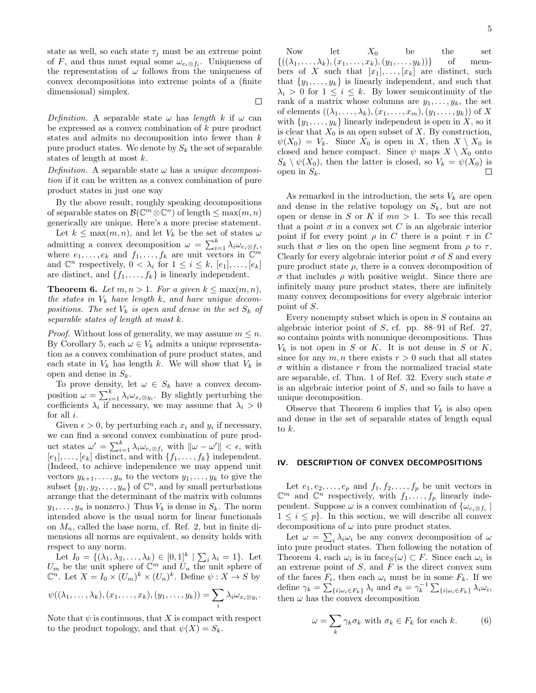state as well, so each state  $\tau_j$  must be an extreme point of F, and thus must equal some  $\omega_{e_i \otimes f_i}$ . Uniqueness of the representation of  $\omega$  follows from the uniqueness of convex decompositions into extreme points of a (finite dimensional) simplex.

 $\Box$ 

Definition. A separable state  $\omega$  has length k if  $\omega$  can be expressed as a convex combination of k pure product states and admits no decomposition into fewer than k pure product states. We denote by  $S_k$  the set of separable states of length at most k.

Definition. A separable state  $\omega$  has a unique decomposition if it can be written as a convex combination of pure product states in just one way

By the above result, roughly speaking decompositions of separable states on  $\mathcal{B}(\mathbb{C}^m \otimes \mathbb{C}^n)$  of length  $\leq \max(m, n)$ generically are unique. Here's a more precise statement.

Let  $k \leq \max(m, n)$ , and let  $V_k$  be the set of states  $\omega$ admitting a convex decomposition  $\omega = \sum_{i=1}^{k} \lambda_i \omega_{e_i \otimes f_i},$ where  $e_1, \ldots, e_k$  and  $f_1, \ldots, f_k$  are unit vectors in  $\mathbb{C}^m$ and  $\mathbb{C}^n$  respectively,  $0 < \lambda_i$  for  $1 \leq i \leq k$ ,  $[e_1], \ldots, [e_k]$ are distinct, and  $\{f_1, \ldots, f_k\}$  is linearly independent.

**Theorem 6.** Let  $m, n > 1$ . For a given  $k \leq \max(m, n)$ , the states in  $V_k$  have length k, and have unique decompositions. The set  $V_k$  is open and dense in the set  $S_k$  of separable states of length at most k.

*Proof.* Without loss of generality, we may assume  $m \leq n$ . By Corollary 5, each  $\omega \in V_k$  admits a unique representation as a convex combination of pure product states, and each state in  $V_k$  has length k. We will show that  $V_k$  is open and dense in  $S_k$ .

To prove density, let  $\omega \in S_k$  have a convex decomposition  $\omega = \sum_{i=1}^{k} \lambda_i \omega_{x_i \otimes y_i}$ . By slightly perturbing the coefficients  $\lambda_i$  if necessary, we may assume that  $\lambda_i > 0$ for all i.

Given  $\epsilon > 0$ , by perturbing each  $x_i$  and  $y_i$  if necessary, we can find a second convex combination of pure product states  $\omega' = \sum_{i=1}^{k} \lambda_i \omega_{e_i \otimes f_i}$  with  $\|\omega - \omega'\| < \epsilon$ , with  $[e_1], \ldots, [e_k]$  distinct, and with  $\{f_1, \ldots, f_k\}$  independent. (Indeed, to achieve independence we may append unit vectors  $y_{k+1}, \ldots, y_n$  to the vectors  $y_1, \ldots, y_k$  to give the subset  $\{y_1, y_2, \ldots, y_n\}$  of  $\mathbb{C}^n$ , and by small perturbations arrange that the determinant of the matrix with columns  $y_1, \ldots, y_n$  is nonzero.) Thus  $V_k$  is dense in  $S_k$ . The norm intended above is the usual norm for linear functionals on  $M_n$ , called the base norm, cf. Ref. 2, but in finite dimensions all norms are equivalent, so density holds with respect to any norm.

Let  $I_0 = \{(\lambda_1, \lambda_2, ..., \lambda_k) \in [0,1]^k \mid \sum_i \lambda_i = 1\}$ . Let  $U_m$  be the unit sphere of  $\mathbb{C}^m$  and  $U_n$  the unit sphere of  $\mathbb{C}^n$ . Let  $X = I_0 \times (U_m)^k \times (U_n)^k$ . Define  $\psi : X \to S$  by

$$
\psi((\lambda_1,\ldots,\lambda_k),(x_1,\ldots,x_k),(y_1,\ldots,y_k))=\sum_i\lambda_i\omega_{x_i\otimes y_i}.
$$

Note that  $\psi$  is continuous, that X is compact with respect to the product topology, and that  $\psi(X) = S_k$ .

Now let  $X_0$  be the set  $\{((\lambda_1, \ldots, \lambda_k), (x_1, \ldots, x_k), (y_1, \ldots, y_k))\}$  of members of X such that  $[x_1], \ldots, [x_k]$  are distinct, such that  $\{y_1, \ldots, y_k\}$  is linearly independent, and such that  $\lambda_i > 0$  for  $1 \leq i \leq k$ . By lower semicontinuity of the rank of a matrix whose columns are  $y_1, \ldots, y_k$ , the set of elements  $((\lambda_1,\ldots,\lambda_k),(x_1,\ldots,x_m),(y_1,\ldots,y_k))$  of X with  $\{y_1, \ldots, y_k\}$  linearly independent is open in X, so it is clear that  $X_0$  is an open subset of X. By construction,  $\psi(X_0) = V_k$ . Since  $X_0$  is open in X, then  $X \setminus X_0$  is closed and hence compact. Since  $\psi$  maps  $X \setminus X_0$  onto  $S_k \setminus \psi(X_0)$ , then the latter is closed, so  $V_k = \psi(X_0)$  is open in  $S_k$ .  $\Box$ 

As remarked in the introduction, the sets  $V_k$  are open and dense in the relative topology on  $S_k$ , but are not open or dense in S or K if  $mn > 1$ . To see this recall that a point  $\sigma$  in a convex set C is an algebraic interior point if for every point  $\rho$  in C there is a point  $\tau$  in C such that  $\sigma$  lies on the open line segment from  $\rho$  to  $\tau$ . Clearly for every algebraic interior point  $\sigma$  of S and every pure product state  $\rho$ , there is a convex decomposition of σ that includes ρ with positive weight. Since there are infinitely many pure product states, there are infinitely many convex decompositions for every algebraic interior point of S.

Every nonempty subset which is open in  $S$  contains an algebraic interior point of S, cf. pp. 88–91 of Ref. 27, so contains points with nonunique decompositions. Thus  $V_k$  is not open in S or K. It is not dense in S or K, since for any  $m, n$  there exists  $r > 0$  such that all states  $\sigma$  within a distance r from the normalized tracial state are separable, cf. Thm. 1 of Ref. 32. Every such state  $\sigma$ is an algebraic interior point of S, and so fails to have a unique decomposition.

Observe that Theorem 6 implies that  $V_k$  is also open and dense in the set of separable states of length equal to  $k$ .

### IV. DESCRIPTION OF CONVEX DECOMPOSITIONS

Let  $e_1, e_2, \ldots, e_p$  and  $f_1, f_2, \ldots, f_p$  be unit vectors in  $\mathbb{C}^m$  and  $\mathbb{C}^n$  respectively, with  $f_1, \ldots, f_p$  linearly independent. Suppose  $\omega$  is a convex combination of  $\{\omega_{e_i \otimes f_i} \mid$  $1 \leq i \leq p$ . In this section, we will describe all convex decompositions of  $\omega$  into pure product states.

Let  $\omega = \sum_i \lambda_i \omega_i$  be any convex decomposition of  $\omega$ into pure product states. Then following the notation of Theorem 4, each  $\omega_i$  is in face  $S(\omega) \subset F$ . Since each  $\omega_i$  is an extreme point of  $S$ , and  $F$  is the direct convex sum of the faces  $F_i$ , then each  $\omega_i$  must be in some  $F_k$ . If we define  $\gamma_k = \sum_{\{i | \omega_i \in F_k\}} \lambda_i$  and  $\sigma_k = \gamma_k^{-1} \sum_{\{i | \omega_i \in F_k\}} \lambda_i \omega_i$ , then  $\omega$  has the convex decomposition

$$
\omega = \sum_{k} \gamma_k \sigma_k \text{ with } \sigma_k \in F_k \text{ for each } k. \tag{6}
$$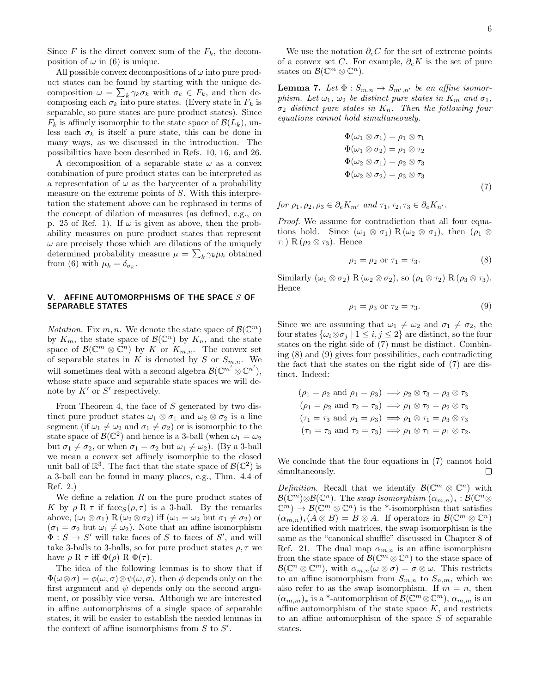Since  $F$  is the direct convex sum of the  $F_k$ , the decomposition of  $\omega$  in (6) is unique.

All possible convex decompositions of  $\omega$  into pure product states can be found by starting with the unique decomposition  $\omega = \sum_{k} \gamma_k \sigma_k$  with  $\sigma_k \in F_k$ , and then decomposing each  $\sigma_k$  into pure states. (Every state in  $F_k$  is separable, so pure states are pure product states). Since  $F_k$  is affinely isomorphic to the state space of  $\mathcal{B}(L_k)$ , unless each  $\sigma_k$  is itself a pure state, this can be done in many ways, as we discussed in the introduction. The possibilities have been described in Refs. 10, 16, and 26.

A decomposition of a separable state  $\omega$  as a convex combination of pure product states can be interpreted as a representation of  $\omega$  as the barycenter of a probability measure on the extreme points of S. With this interpretation the statement above can be rephrased in terms of the concept of dilation of measures (as defined, e.g., on p. 25 of Ref. 1). If  $\omega$  is given as above, then the probability measures on pure product states that represent  $\omega$  are precisely those which are dilations of the uniquely determined probability measure  $\mu = \sum_{k} \gamma_k \mu_k$  obtained from (6) with  $\mu_k = \delta_{\sigma_k}$ .

## V. AFFINE AUTOMORPHISMS OF THE SPACE S OF SEPARABLE STATES

*Notation.* Fix  $m, n$ . We denote the state space of  $\mathcal{B}(\mathbb{C}^m)$ by  $K_m$ , the state space of  $\mathcal{B}(\mathbb{C}^n)$  by  $K_n$ , and the state space of  $\mathcal{B}(\mathbb{C}^m \otimes \mathbb{C}^n)$  by K or  $K_{m,n}$ . The convex set of separable states in K is denoted by S or  $S_{m,n}$ . We will sometimes deal with a second algebra  $\mathcal{B}(\mathbb{C}^{m'} \otimes \mathbb{C}^{n'}),$ whose state space and separable state spaces we will denote by  $K'$  or  $S'$  respectively.

From Theorem 4, the face of S generated by two distinct pure product states  $\omega_1 \otimes \sigma_1$  and  $\omega_2 \otimes \sigma_2$  is a line segment (if  $\omega_1 \neq \omega_2$  and  $\sigma_1 \neq \sigma_2$ ) or is isomorphic to the state space of  $\mathcal{B}(\mathbb{C}^2)$  and hence is a 3-ball (when  $\omega_1 = \omega_2$ ) but  $\sigma_1 \neq \sigma_2$ , or when  $\sigma_1 = \sigma_2$  but  $\omega_1 \neq \omega_2$ ). (By a 3-ball we mean a convex set affinely isomorphic to the closed unit ball of  $\mathbb{R}^3$ . The fact that the state space of  $\mathcal{B}(\mathbb{C}^2)$  is a 3-ball can be found in many places, e.g., Thm. 4.4 of Ref. 2.)

We define a relation  $R$  on the pure product states of K by  $\rho \to \tau$  if face<sub>S</sub> $(\rho, \tau)$  is a 3-ball. By the remarks above,  $(\omega_1 \otimes \sigma_1)$  R  $(\omega_2 \otimes \sigma_2)$  iff  $(\omega_1 = \omega_2$  but  $\sigma_1 \neq \sigma_2)$  or  $(\sigma_1 = \sigma_2$  but  $\omega_1 \neq \omega_2$ ). Note that an affine isomorphism  $\Phi: S \to S'$  will take faces of S to faces of S', and will take 3-balls to 3-balls, so for pure product states  $\rho, \tau$  we have  $\rho \to \tau$  iff  $\Phi(\rho) \to \Phi(\tau)$ .

The idea of the following lemmas is to show that if  $\Phi(\omega \otimes \sigma) = \phi(\omega, \sigma) \otimes \psi(\omega, \sigma)$ , then  $\phi$  depends only on the first argument and  $\psi$  depends only on the second argument, or possibly vice versa. Although we are interested in affine automorphisms of a single space of separable states, it will be easier to establish the needed lemmas in the context of affine isomorphisms from  $S$  to  $S'$ .

We use the notation  $\partial_e C$  for the set of extreme points of a convex set C. For example,  $\partial_e K$  is the set of pure states on  $\mathcal{B}(\mathbb{C}^m \otimes \mathbb{C}^n)$ .

**Lemma 7.** Let  $\Phi: S_{m,n} \to S_{m',n'}$  be an affine isomorphism. Let  $\omega_1$ ,  $\omega_2$  be distinct pure states in  $K_m$  and  $\sigma_1$ ,  $\sigma_2$  distinct pure states in  $K_n$ . Then the following four equations cannot hold simultaneously.

$$
\Phi(\omega_1 \otimes \sigma_1) = \rho_1 \otimes \tau_1 \n\Phi(\omega_1 \otimes \sigma_2) = \rho_1 \otimes \tau_2 \n\Phi(\omega_2 \otimes \sigma_1) = \rho_2 \otimes \tau_3 \n\Phi(\omega_2 \otimes \sigma_2) = \rho_3 \otimes \tau_3
$$
\n(7)

for  $\rho_1, \rho_2, \rho_3 \in \partial_e K_{m'}$  and  $\tau_1, \tau_2, \tau_3 \in \partial_e K_{n'}$ .

Proof. We assume for contradiction that all four equations hold. Since  $(\omega_1 \otimes \sigma_1)$  R  $(\omega_2 \otimes \sigma_1)$ , then  $(\rho_1 \otimes$  $\tau_1$ ) R ( $\rho_2 \otimes \tau_3$ ). Hence

$$
\rho_1 = \rho_2 \text{ or } \tau_1 = \tau_3. \tag{8}
$$

Similarly  $(\omega_1 \otimes \sigma_2)$  R  $(\omega_2 \otimes \sigma_2)$ , so  $(\rho_1 \otimes \tau_2)$  R  $(\rho_3 \otimes \tau_3)$ . Hence

$$
\rho_1 = \rho_3 \text{ or } \tau_2 = \tau_3. \tag{9}
$$

Since we are assuming that  $\omega_1 \neq \omega_2$  and  $\sigma_1 \neq \sigma_2$ , the four states  $\{\omega_i \otimes \sigma_j \mid 1 \leq i, j \leq 2\}$  are distinct, so the four states on the right side of (7) must be distinct. Combining (8) and (9) gives four possibilities, each contradicting the fact that the states on the right side of (7) are distinct. Indeed:

$$
(\rho_1 = \rho_2 \text{ and } \rho_1 = \rho_3) \implies \rho_2 \otimes \tau_3 = \rho_3 \otimes \tau_3
$$
  
\n
$$
(\rho_1 = \rho_2 \text{ and } \tau_2 = \tau_3) \implies \rho_1 \otimes \tau_2 = \rho_2 \otimes \tau_3
$$
  
\n
$$
(\tau_1 = \tau_3 \text{ and } \rho_1 = \rho_3) \implies \rho_1 \otimes \tau_1 = \rho_3 \otimes \tau_3
$$
  
\n
$$
(\tau_1 = \tau_3 \text{ and } \tau_2 = \tau_3) \implies \rho_1 \otimes \tau_1 = \rho_1 \otimes \tau_2.
$$

We conclude that the four equations in (7) cannot hold simultaneously.  $\Box$ 

Definition. Recall that we identify  $\mathcal{B}(\mathbb{C}^m \otimes \mathbb{C}^n)$  with  $\mathcal{B}(\mathbb{C}^m) \otimes \mathcal{B}(\mathbb{C}^n)$ . The swap isomorphism  $(\alpha_{m,n})_* : \mathcal{B}(\mathbb{C}^n \otimes$  $\mathbb{C}^m$ )  $\rightarrow \mathcal{B}(\mathbb{C}^m \otimes \mathbb{C}^n)$  is the \*-isomorphism that satisfies  $(\alpha_{m,n})_*(A\otimes B)=B\otimes A$ . If operators in  $\mathcal{B}(\mathbb{C}^m\otimes \mathbb{C}^n)$ are identified with matrices, the swap isomorphism is the same as the "canonical shuffle" discussed in Chapter 8 of Ref. 21. The dual map  $\alpha_{m,n}$  is an affine isomorphism from the state space of  $\mathcal{B}(\mathbb{C}^m \otimes \mathbb{C}^n)$  to the state space of  $\mathcal{B}(\mathbb{C}^n \otimes \mathbb{C}^m)$ , with  $\alpha_{m,n}(\omega \otimes \sigma) = \sigma \otimes \omega$ . This restricts to an affine isomorphism from  $S_{m,n}$  to  $S_{n,m}$ , which we also refer to as the swap isomorphism. If  $m = n$ , then  $(\alpha_{m,m})_*$  is a <sup>\*</sup>-automorphism of  $\mathcal{B}(\mathbb{C}^m \otimes \mathbb{C}^m)$ ,  $\alpha_{m,m}$  is an affine automorphism of the state space  $K$ , and restricts to an affine automorphism of the space S of separable states.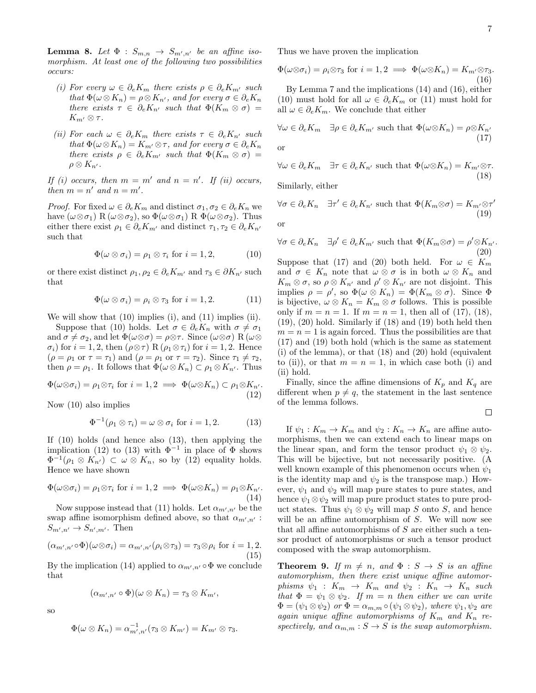**Lemma 8.** Let  $\Phi : S_{m,n} \to S_{m',n'}$  be an affine isomorphism. At least one of the following two possibilities occurs:

- (i) For every  $\omega \in \partial_e K_m$  there exists  $\rho \in \partial_e K_{m'}$  such that  $\Phi(\omega \otimes K_n) = \rho \otimes K_{n'}$ , and for every  $\sigma \in \partial_e K_n$ there exists  $\tau \in \partial_e K_{n'}$  such that  $\Phi(K_m \otimes \sigma)$  =  $K_{m'}\otimes \tau$  .
- (ii) For each  $\omega \in \partial_e K_m$  there exists  $\tau \in \partial_e K_{n'}$  such that  $\Phi(\omega \otimes K_n) = K_{m'} \otimes \tau$ , and for every  $\sigma \in \partial_e K_n$ there exists  $\rho \in \partial_e K_{m'}$  such that  $\Phi(K_m \otimes \sigma)$  =  $\rho \otimes K_{n'}$ .

If (i) occurs, then  $m = m'$  and  $n = n'$ . If (ii) occurs, then  $m = n'$  and  $n = m'$ .

*Proof.* For fixed  $\omega \in \partial_e K_m$  and distinct  $\sigma_1, \sigma_2 \in \partial_e K_n$  we have  $(\omega \otimes \sigma_1)$  R  $(\omega \otimes \sigma_2)$ , so  $\Phi(\omega \otimes \sigma_1)$  R  $\Phi(\omega \otimes \sigma_2)$ . Thus either there exist  $\rho_1 \in \partial_e K_{m'}$  and distinct  $\tau_1, \tau_2 \in \partial_e K_{n'}$ such that

$$
\Phi(\omega \otimes \sigma_i) = \rho_1 \otimes \tau_i \text{ for } i = 1, 2,
$$
\n(10)

or there exist distinct  $\rho_1, \rho_2 \in \partial_e K_{m'}$  and  $\tau_3 \in \partial K_{n'}$  such that

$$
\Phi(\omega \otimes \sigma_i) = \rho_i \otimes \tau_3 \text{ for } i = 1, 2. \tag{11}
$$

We will show that (10) implies (i), and (11) implies (ii).

Suppose that (10) holds. Let  $\sigma \in \partial_e K_n$  with  $\sigma \neq \sigma_1$ and  $\sigma \neq \sigma_2$ , and let  $\Phi(\omega \otimes \sigma) = \rho \otimes \tau$ . Since  $(\omega \otimes \sigma)$  R  $(\omega \otimes$  $\sigma_i$ ) for  $i = 1, 2$ , then  $(\rho \otimes \tau)$  R  $(\rho_1 \otimes \tau_i)$  for  $i = 1, 2$ . Hence  $(\rho = \rho_1 \text{ or } \tau = \tau_1)$  and  $(\rho = \rho_1 \text{ or } \tau = \tau_2)$ . Since  $\tau_1 \neq \tau_2$ , then  $\rho = \rho_1$ . It follows that  $\Phi(\omega \otimes K_n) \subset \rho_1 \otimes K_{n'}$ . Thus

$$
\Phi(\omega \otimes \sigma_i) = \rho_1 \otimes \tau_i \text{ for } i = 1, 2 \implies \Phi(\omega \otimes K_n) \subset \rho_1 \otimes K_{n'}.
$$
\n(12)

Now (10) also implies

$$
\Phi^{-1}(\rho_1 \otimes \tau_i) = \omega \otimes \sigma_i \text{ for } i = 1, 2. \tag{13}
$$

If (10) holds (and hence also (13), then applying the implication (12) to (13) with  $\Phi^{-1}$  in place of  $\Phi$  shows  $\Phi^{-1}(\rho_1 \otimes K_{n'}) \subset \omega \otimes K_n$ , so by (12) equality holds. Hence we have shown

$$
\Phi(\omega \otimes \sigma_i) = \rho_1 \otimes \tau_i \text{ for } i = 1, 2 \implies \Phi(\omega \otimes K_n) = \rho_1 \otimes K_{n'}.
$$
\n(14)

Now suppose instead that (11) holds. Let  $\alpha_{m',n'}$  be the swap affine isomorphism defined above, so that  $\alpha_{m',n'}$ :  $S_{m',n'} \to S_{n',m'}$ . Then

$$
(\alpha_{m',n'} \circ \Phi)(\omega \otimes \sigma_i) = \alpha_{m',n'}(\rho_i \otimes \tau_3) = \tau_3 \otimes \rho_i \text{ for } i = 1,2.
$$
\n(15)

By the implication (14) applied to  $\alpha_{m',n'} \circ \Phi$  we conclude that

$$
(\alpha_{m',n'}\circ\Phi)(\omega\otimes K_n)=\tau_3\otimes K_{m'},
$$

so

$$
\Phi(\omega \otimes K_n) = \alpha_{m',n'}^{-1}(\tau_3 \otimes K_{m'}) = K_{m'} \otimes \tau_3.
$$

Thus we have proven the implication

$$
\Phi(\omega \otimes \sigma_i) = \rho_i \otimes \tau_3 \text{ for } i = 1, 2 \implies \Phi(\omega \otimes K_n) = K_{m'} \otimes \tau_3.
$$
\n(16)

By Lemma 7 and the implications (14) and (16), either (10) must hold for all  $\omega \in \partial_e K_m$  or (11) must hold for all  $\omega \in \partial_e K_m$ . We conclude that either

$$
\forall \omega \in \partial_e K_m \quad \exists \rho \in \partial_e K_{m'} \text{ such that } \Phi(\omega \otimes K_n) = \rho \otimes K_{n'} \tag{17}
$$
 or

$$
\forall \omega \in \partial_e K_m \quad \exists \tau \in \partial_e K_{n'} \text{ such that } \Phi(\omega \otimes K_n) = K_{m'} \otimes \tau. \tag{18}
$$

Similarly, either

$$
\forall \sigma \in \partial_e K_n \quad \exists \tau' \in \partial_e K_{n'} \text{ such that } \Phi(K_m \otimes \sigma) = K_{m'} \otimes \tau'
$$
\nor

\n
$$
(19)
$$

 $\forall \sigma \in \partial_e K_n \quad \exists \rho' \in \partial_e K_{m'}$  such that  $\Phi(K_m \otimes \sigma) = \rho' \otimes K_{n'}$ . (20)

Suppose that (17) and (20) both held. For  $\omega \in K_m$ and  $\sigma \in K_n$  note that  $\omega \otimes \sigma$  is in both  $\omega \otimes K_n$  and  $K_m \otimes \sigma$ , so  $\rho \otimes K_{n'}$  and  $\rho' \otimes K_{n'}$  are not disjoint. This implies  $\rho = \rho'$ , so  $\Phi(\omega \otimes K_n) = \Phi(K_m \otimes \sigma)$ . Since  $\Phi$ is bijective,  $\omega \otimes K_n = K_m \otimes \sigma$  follows. This is possible only if  $m = n = 1$ . If  $m = n = 1$ , then all of (17), (18), (19), (20) hold. Similarly if (18) and (19) both held then  $m = n = 1$  is again forced. Thus the possibilities are that (17) and (19) both hold (which is the same as statement (i) of the lemma), or that (18) and (20) hold (equivalent to (ii)), or that  $m = n = 1$ , in which case both (i) and (ii) hold.

Finally, since the affine dimensions of  $K_p$  and  $K_q$  are different when  $p \neq q$ , the statement in the last sentence of the lemma follows.

$$
\qquad \qquad \Box
$$

If  $\psi_1: K_m \to K_m$  and  $\psi_2: K_n \to K_n$  are affine automorphisms, then we can extend each to linear maps on the linear span, and form the tensor product  $\psi_1 \otimes \psi_2$ . This will be bijective, but not necessarily positive. (A well known example of this phenomenon occurs when  $\psi_1$ is the identity map and  $\psi_2$  is the transpose map.) However,  $\psi_1$  and  $\psi_2$  will map pure states to pure states, and hence  $\psi_1 \otimes \psi_2$  will map pure product states to pure product states. Thus  $\psi_1 \otimes \psi_2$  will map S onto S, and hence will be an affine automorphism of S. We will now see that all affine automorphisms of  $S$  are either such a tensor product of automorphisms or such a tensor product composed with the swap automorphism.

**Theorem 9.** If  $m \neq n$ , and  $\Phi : S \rightarrow S$  is an affine automorphism, then there exist unique affine automorphisms  $\psi_1 : K_m \to K_m$  and  $\psi_2 : K_n \to K_n$  such that  $\Phi = \psi_1 \otimes \psi_2$ . If  $m = n$  then either we can write  $\Phi = (\psi_1 \otimes \psi_2)$  or  $\Phi = \alpha_{m,m} \circ (\psi_1 \otimes \psi_2)$ , where  $\psi_1, \psi_2$  are again unique affine automorphisms of  $K_m$  and  $K_n$  respectively, and  $\alpha_{m,m}: S \to S$  is the swap automorphism.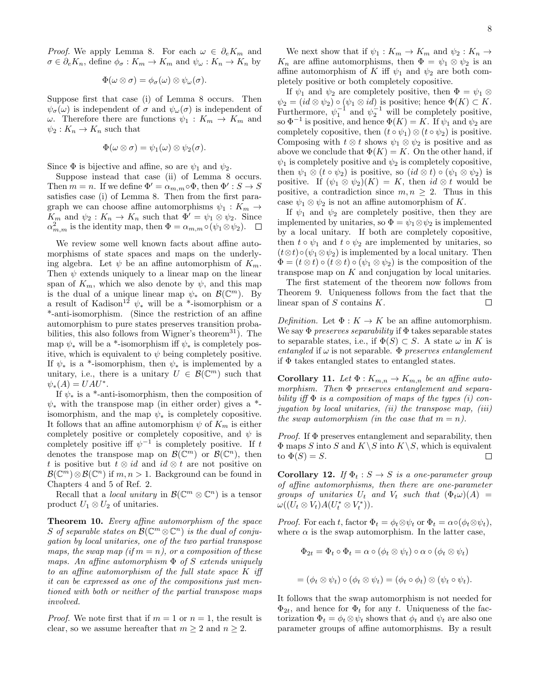*Proof.* We apply Lemma 8. For each  $\omega \in \partial_e K_m$  and  $\sigma \in \partial_e K_n$ , define  $\phi_{\sigma}: K_m \to K_m$  and  $\psi_{\omega}: K_n \to K_n$  by

$$
\Phi(\omega \otimes \sigma) = \phi_{\sigma}(\omega) \otimes \psi_{\omega}(\sigma).
$$

Suppose first that case (i) of Lemma 8 occurs. Then  $\psi_{\sigma}(\omega)$  is independent of  $\sigma$  and  $\psi_{\omega}(\sigma)$  is independent of ω. Therefore there are functions  $ψ_1: K_m \to K_m$  and  $\psi_2:K_n\to K_n$  such that

$$
\Phi(\omega \otimes \sigma) = \psi_1(\omega) \otimes \psi_2(\sigma).
$$

Since  $\Phi$  is bijective and affine, so are  $\psi_1$  and  $\psi_2$ .

Suppose instead that case (ii) of Lemma 8 occurs. Then  $m = n$ . If we define  $\Phi' = \alpha_{m,m} \circ \Phi$ , then  $\Phi' : S \to S$ satisfies case (i) of Lemma 8. Then from the first paragraph we can choose affine automorphisms  $\psi_1 : K_m \to$  $K_m$  and  $\psi_2: K_n \to K_n$  such that  $\Phi' = \psi_1 \otimes \psi_2$ . Since  $\alpha_{m,m}^2$  is the identity map, then  $\Phi = \alpha_{m,m} \circ (\psi_1 \otimes \psi_2)$ .

We review some well known facts about affine automorphisms of state spaces and maps on the underlying algebra. Let  $\psi$  be an affine automorphism of  $K_m$ . Then  $\psi$  extends uniquely to a linear map on the linear span of  $K_m$ , which we also denote by  $\psi$ , and this map is the dual of a unique linear map  $\psi_*$  on  $\mathcal{B}(\mathbb{C}^m)$ . By a result of Kadison<sup>12</sup>  $\psi_*$  will be a \*-isomorphism or a \*-anti-isomorphism. (Since the restriction of an affine automorphism to pure states preserves transition probabilities, this also follows from Wigner's theorem<sup>31</sup>). The map  $\psi_*$  will be a <sup>\*</sup>-isomorphism iff  $\psi_*$  is completely positive, which is equivalent to  $\psi$  being completely positive. If  $\psi_*$  is a \*-isomorphism, then  $\psi_*$  is implemented by a unitary, i.e., there is a unitary  $U \in \mathcal{B}(\mathbb{C}^m)$  such that  $\psi_*(A) = UAU^*.$ 

If  $\psi_*$  is a \*-anti-isomorphism, then the composition of  $\psi_*$  with the transpose map (in either order) gives a  $*$ isomorphism, and the map  $\psi_*$  is completely copositive. It follows that an affine automorphism  $\psi$  of  $K_m$  is either completely positive or completely copositive, and  $\psi$  is completely positive iff  $\psi^{-1}$  is completely positive. If t denotes the transpose map on  $\mathcal{B}(\mathbb{C}^m)$  or  $\mathcal{B}(\mathbb{C}^n)$ , then t is positive but  $t \otimes id$  and  $id \otimes t$  are not positive on  $\mathcal{B}(\mathbb{C}^m) \otimes \mathcal{B}(\mathbb{C}^n)$  if  $m, n > 1$ . Background can be found in Chapters 4 and 5 of Ref. 2.

Recall that a *local unitary* in  $\mathcal{B}(\mathbb{C}^m \otimes \mathbb{C}^n)$  is a tensor product  $U_1 \otimes U_2$  of unitaries.

Theorem 10. Every affine automorphism of the space S of separable states on  $\mathcal{B}(\mathbb{C}^m \otimes \mathbb{C}^n)$  is the dual of conjugation by local unitaries, one of the two partial transpose maps, the swap map (if  $m = n$ ), or a composition of these maps. An affine automorphism  $\Phi$  of S extends uniquely to an affine automorphism of the full state space K iff it can be expressed as one of the compositions just mentioned with both or neither of the partial transpose maps involved.

*Proof.* We note first that if  $m = 1$  or  $n = 1$ , the result is clear, so we assume hereafter that  $m \geq 2$  and  $n \geq 2$ .

We next show that if  $\psi_1 : K_m \to K_m$  and  $\psi_2 : K_n \to$  $K_n$  are affine automorphisms, then  $\Phi = \psi_1 \otimes \psi_2$  is an affine automorphism of K iff  $\psi_1$  and  $\psi_2$  are both completely positive or both completely copositive.

If  $\psi_1$  and  $\psi_2$  are completely positive, then  $\Phi = \psi_1 \otimes$  $\psi_2 = (id \otimes \psi_2) \circ (\psi_1 \otimes id)$  is positive; hence  $\Phi(K) \subset K$ . Furthermore,  $\psi_1^{-1}$  and  $\psi_2^{-1}$  will be completely positive, so  $\Phi^{-1}$  is positive, and hence  $\Phi(K) = K$ . If  $\psi_1$  and  $\psi_2$  are completely copositive, then  $(t \circ \psi_1) \otimes (t \circ \psi_2)$  is positive. Composing with  $t \otimes t$  shows  $\psi_1 \otimes \psi_2$  is positive and as above we conclude that  $\Phi(K) = K$ . On the other hand, if  $\psi_1$  is completely positive and  $\psi_2$  is completely copositive, then  $\psi_1 \otimes (t \circ \psi_2)$  is positive, so  $(id \otimes t) \circ (\psi_1 \otimes \psi_2)$  is positive. If  $(\psi_1 \otimes \psi_2)(K) = K$ , then  $id \otimes t$  would be positive, a contradiction since  $m, n \geq 2$ . Thus in this case  $\psi_1 \otimes \psi_2$  is not an affine automorphism of K.

If  $\psi_1$  and  $\psi_2$  are completely positive, then they are implemented by unitaries, so  $\Phi = \psi_1 \otimes \psi_2$  is implemented by a local unitary. If both are completely copositive, then  $t \circ \psi_1$  and  $t \circ \psi_2$  are implemented by unitaries, so  $(t \otimes t) \circ (\psi_1 \otimes \psi_2)$  is implemented by a local unitary. Then  $\Phi = (t \otimes t) \circ (t \otimes t) \circ (\psi_1 \otimes \psi_2)$  is the composition of the transpose map on K and conjugation by local unitaries.

The first statement of the theorem now follows from Theorem 9. Uniqueness follows from the fact that the linear span of  $S$  contains  $K$ .  $\Box$ 

Definition. Let  $\Phi: K \to K$  be an affine automorphism. We say  $\Phi$  preserves separability if  $\Phi$  takes separable states to separable states, i.e., if  $\Phi(S) \subset S$ . A state  $\omega$  in K is entangled if  $\omega$  is not separable.  $\Phi$  preserves entanglement if  $\Phi$  takes entangled states to entangled states.

Corollary 11. Let  $\Phi: K_{m,n} \to K_{m,n}$  be an affine automorphism. Then Φ preserves entanglement and separability iff  $\Phi$  is a composition of maps of the types (i) conjugation by local unitaries,  $(ii)$  the transpose map,  $(iii)$ the swap automorphism (in the case that  $m = n$ ).

*Proof.* If  $\Phi$  preserves entanglement and separability, then  $\Phi$  maps S into S and  $K \setminus S$  into  $K \setminus S$ , which is equivalent to  $\Phi(S) = S$ .  $\Box$ 

Corollary 12. If  $\Phi_t : S \to S$  is a one-parameter group of affine automorphisms, then there are one-parameter groups of unitaries  $U_t$  and  $V_t$  such that  $(\Phi_t \omega)(A) =$  $\omega((U_t \otimes V_t)A(U_t^* \otimes V_t^*)).$ 

*Proof.* For each t, factor  $\Phi_t = \phi_t \otimes \psi_t$  or  $\Phi_t = \alpha \circ (\phi_t \otimes \psi_t)$ , where  $\alpha$  is the swap automorphism. In the latter case,

$$
\Phi_{2t} = \Phi_t \circ \Phi_t = \alpha \circ (\phi_t \otimes \psi_t) \circ \alpha \circ (\phi_t \otimes \psi_t)
$$

$$
= (\phi_t \otimes \psi_t) \circ (\phi_t \otimes \psi_t) = (\phi_t \circ \phi_t) \otimes (\psi_t \circ \psi_t).
$$

It follows that the swap automorphism is not needed for  $\Phi_{2t}$ , and hence for  $\Phi_t$  for any t. Uniqueness of the factorization  $\Phi_t = \phi_t \otimes \psi_t$  shows that  $\phi_t$  and  $\psi_t$  are also one parameter groups of affine automorphisms. By a result